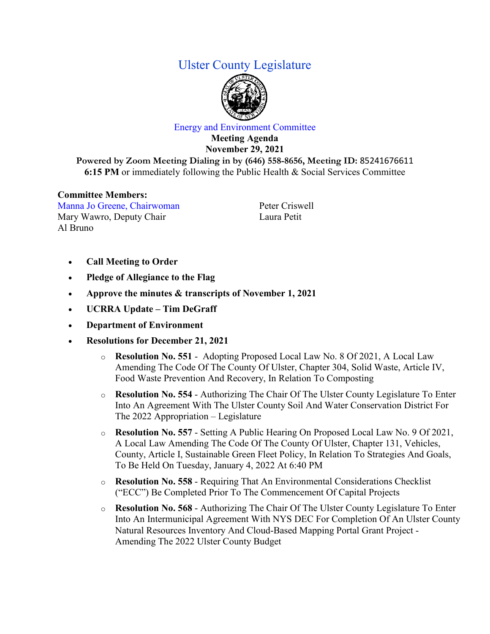## Ulster County Legislature



## Energy and Environment Committee

**Meeting Agenda November 29, 2021**

**Powered by Zoom Meeting Dialing in by (646) 558-8656, Meeting ID:** 85241676611 **6:15 PM** or immediately following the Public Health & Social Services Committee

## **Committee Members:**

Manna Jo Greene, Chairwoman Mary Wawro, Deputy Chair Al Bruno

Peter Criswell Laura Petit

- **Call Meeting to Order**
- **Pledge of Allegiance to the Flag**
- **Approve the minutes & transcripts of November 1, 2021**
- **UCRRA Update – Tim DeGraff**
- **Department of Environment**
- **Resolutions for December 21, 2021**
	- o **Resolution No. 551** Adopting Proposed Local Law No. 8 Of 2021, A Local Law Amending The Code Of The County Of Ulster, Chapter 304, Solid Waste, Article IV, Food Waste Prevention And Recovery, In Relation To Composting
	- o **Resolution No. 554** Authorizing The Chair Of The Ulster County Legislature To Enter Into An Agreement With The Ulster County Soil And Water Conservation District For The 2022 Appropriation – Legislature
	- o **Resolution No. 557** Setting A Public Hearing On Proposed Local Law No. 9 Of 2021, A Local Law Amending The Code Of The County Of Ulster, Chapter 131, Vehicles, County, Article I, Sustainable Green Fleet Policy, In Relation To Strategies And Goals, To Be Held On Tuesday, January 4, 2022 At 6:40 PM
	- o **Resolution No. 558** Requiring That An Environmental Considerations Checklist ("ECC") Be Completed Prior To The Commencement Of Capital Projects
	- o **Resolution No. 568** Authorizing The Chair Of The Ulster County Legislature To Enter Into An Intermunicipal Agreement With NYS DEC For Completion Of An Ulster County Natural Resources Inventory And Cloud-Based Mapping Portal Grant Project - Amending The 2022 Ulster County Budget